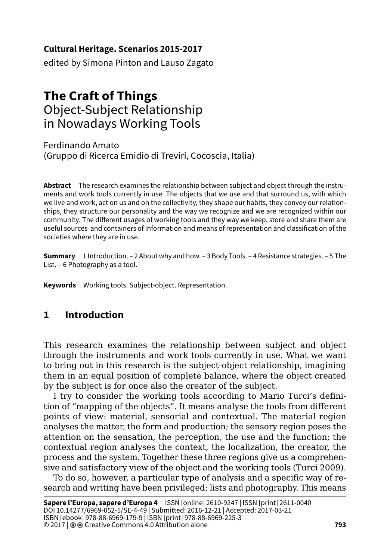#### **Cultural Heritage. Scenarios 2015-2017**

edited by Simona Pinton and Lauso Zagato

# **The Craft of Things** Object-Subject Relationship in Nowadays Working Tools

Ferdinando Amato (Gruppo di Ricerca Emidio di Treviri, Cocoscia, Italia)

**Abstract** The research examines the relationship between subject and object through the instruments and work tools currently in use. The objects that we use and that surround us, with which we live and work, act on us and on the collectivity, they shape our habits, they convey our relationships, they structure our personality and the way we recognize and we are recognized within our community. The different usages of working tools and they way we keep, store and share them are useful sources and containers of information and means of representation and classification of the societies where they are in use.

**Summary** 1 Introduction. – 2 About why and how. – 3 Body Tools. – 4 Resistance strategies. – 5 The List. – 6 Photography as a tool.

**Keywords** Working tools. Subject-object. Representation.

### **1 Introduction**

This research examines the relationship between subject and object through the instruments and work tools currently in use. What we want to bring out in this research is the subject-object relationship, imagining them in an equal position of complete balance, where the object created by the subject is for once also the creator of the subject.

I try to consider the working tools according to Mario Turci's definition of "mapping of the objects". It means analyse the tools from different points of view: material, sensorial and contextual. The material region analyses the matter, the form and production; the sensory region poses the attention on the sensation, the perception, the use and the function; the contextual region analyses the context, the localization, the creator, the process and the system. Together these three regions give us a comprehensive and satisfactory view of the object and the working tools (Turci 2009).

To do so, however, a particular type of analysis and a specific way of research and writing have been privileged: lists and photography. This means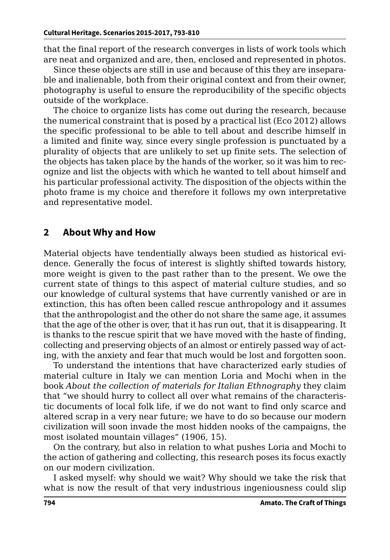that the final report of the research converges in lists of work tools which are neat and organized and are, then, enclosed and represented in photos.

Since these objects are still in use and because of this they are inseparable and inalienable, both from their original context and from their owner, photography is useful to ensure the reproducibility of the specific objects outside of the workplace.

The choice to organize lists has come out during the research, because the numerical constraint that is posed by a practical list (Eco 2012) allows the specific professional to be able to tell about and describe himself in a limited and finite way, since every single profession is punctuated by a plurality of objects that are unlikely to set up finite sets. The selection of the objects has taken place by the hands of the worker, so it was him to recognize and list the objects with which he wanted to tell about himself and his particular professional activity. The disposition of the objects within the photo frame is my choice and therefore it follows my own interpretative and representative model.

#### **2 About Why and How**

Material objects have tendentially always been studied as historical evidence. Generally the focus of interest is slightly shifted towards history, more weight is given to the past rather than to the present. We owe the current state of things to this aspect of material culture studies, and so our knowledge of cultural systems that have currently vanished or are in extinction, this has often been called rescue anthropology and it assumes that the anthropologist and the other do not share the same age, it assumes that the age of the other is over, that it has run out, that it is disappearing. It is thanks to the rescue spirit that we have moved with the haste of finding, collecting and preserving objects of an almost or entirely passed way of acting, with the anxiety and fear that much would be lost and forgotten soon.

To understand the intentions that have characterized early studies of material culture in Italy we can mention Loria and Mochi when in the book *About the collection of materials for Italian Ethnography* they claim that "we should hurry to collect all over what remains of the characteristic documents of local folk life, if we do not want to find only scarce and altered scrap in a very near future; we have to do so because our modern civilization will soon invade the most hidden nooks of the campaigns, the most isolated mountain villages" (1906, 15).

On the contrary, but also in relation to what pushes Loria and Mochi to the action of gathering and collecting, this research poses its focus exactly on our modern civilization.

I asked myself: why should we wait? Why should we take the risk that what is now the result of that very industrious ingeniousness could slip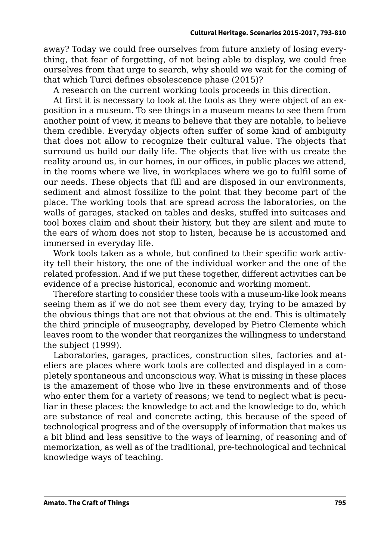away? Today we could free ourselves from future anxiety of losing everything, that fear of forgetting, of not being able to display, we could free ourselves from that urge to search, why should we wait for the coming of that which Turci defines obsolescence phase (2015)?

A research on the current working tools proceeds in this direction.

At first it is necessary to look at the tools as they were object of an exposition in a museum. To see things in a museum means to see them from another point of view, it means to believe that they are notable, to believe them credible. Everyday objects often suffer of some kind of ambiguity that does not allow to recognize their cultural value. The objects that surround us build our daily life. The objects that live with us create the reality around us, in our homes, in our offices, in public places we attend, in the rooms where we live, in workplaces where we go to fulfil some of our needs. These objects that fill and are disposed in our environments, sediment and almost fossilize to the point that they become part of the place. The working tools that are spread across the laboratories, on the walls of garages, stacked on tables and desks, stuffed into suitcases and tool boxes claim and shout their history, but they are silent and mute to the ears of whom does not stop to listen, because he is accustomed and immersed in everyday life.

Work tools taken as a whole, but confined to their specific work activity tell their history, the one of the individual worker and the one of the related profession. And if we put these together, different activities can be evidence of a precise historical, economic and working moment.

Therefore starting to consider these tools with a museum-like look means seeing them as if we do not see them every day, trying to be amazed by the obvious things that are not that obvious at the end. This is ultimately the third principle of museography, developed by Pietro Clemente which leaves room to the wonder that reorganizes the willingness to understand the subject (1999).

Laboratories, garages, practices, construction sites, factories and ateliers are places where work tools are collected and displayed in a completely spontaneous and unconscious way. What is missing in these places is the amazement of those who live in these environments and of those who enter them for a variety of reasons; we tend to neglect what is peculiar in these places: the knowledge to act and the knowledge to do, which are substance of real and concrete acting, this because of the speed of technological progress and of the oversupply of information that makes us a bit blind and less sensitive to the ways of learning, of reasoning and of memorization, as well as of the traditional, pre-technological and technical knowledge ways of teaching.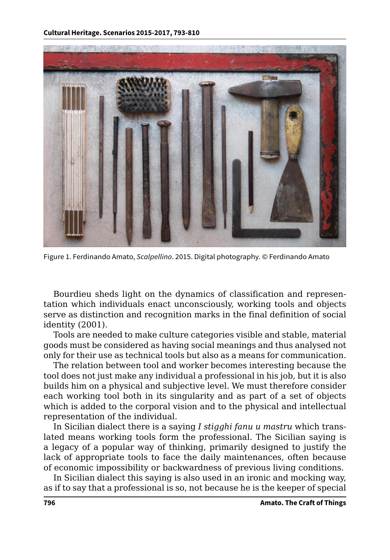

Figure 1. Ferdinando Amato, *Scalpellino*. 2015. Digital photography. © Ferdinando Amato

Bourdieu sheds light on the dynamics of classification and representation which individuals enact unconsciously, working tools and objects serve as distinction and recognition marks in the final definition of social identity (2001).

Tools are needed to make culture categories visible and stable, material goods must be considered as having social meanings and thus analysed not only for their use as technical tools but also as a means for communication.

The relation between tool and worker becomes interesting because the tool does not just make any individual a professional in his job, but it is also builds him on a physical and subjective level. We must therefore consider each working tool both in its singularity and as part of a set of objects which is added to the corporal vision and to the physical and intellectual representation of the individual.

In Sicilian dialect there is a saying *I stigghi fanu u mastru* which translated means working tools form the professional. The Sicilian saying is a legacy of a popular way of thinking, primarily designed to justify the lack of appropriate tools to face the daily maintenances, often because of economic impossibility or backwardness of previous living conditions.

In Sicilian dialect this saying is also used in an ironic and mocking way, as if to say that a professional is so, not because he is the keeper of special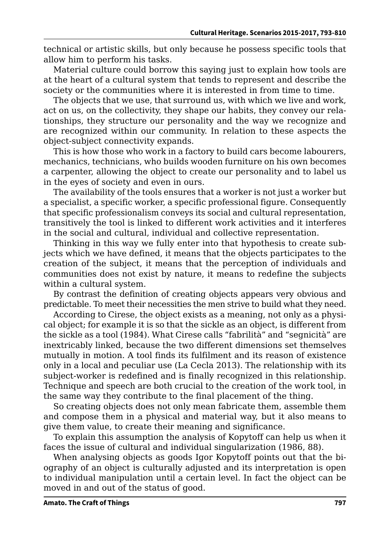technical or artistic skills, but only because he possess specific tools that allow him to perform his tasks.

Material culture could borrow this saying just to explain how tools are at the heart of a cultural system that tends to represent and describe the society or the communities where it is interested in from time to time.

The objects that we use, that surround us, with which we live and work, act on us, on the collectivity, they shape our habits, they convey our relationships, they structure our personality and the way we recognize and are recognized within our community. In relation to these aspects the object-subject connectivity expands.

This is how those who work in a factory to build cars become labourers, mechanics, technicians, who builds wooden furniture on his own becomes a carpenter, allowing the object to create our personality and to label us in the eyes of society and even in ours.

The availability of the tools ensures that a worker is not just a worker but a specialist, a specific worker, a specific professional figure. Consequently that specific professionalism conveys its social and cultural representation, transitively the tool is linked to different work activities and it interferes in the social and cultural, individual and collective representation.

Thinking in this way we fully enter into that hypothesis to create subjects which we have defined, it means that the objects participates to the creation of the subject, it means that the perception of individuals and communities does not exist by nature, it means to redefine the subjects within a cultural system.

By contrast the definition of creating objects appears very obvious and predictable. To meet their necessities the men strive to build what they need.

According to Cirese, the object exists as a meaning, not only as a physical object; for example it is so that the sickle as an object, is different from the sickle as a tool (1984). What Cirese calls "fabrilità" and "segnicità" are inextricably linked, because the two different dimensions set themselves mutually in motion. A tool finds its fulfilment and its reason of existence only in a local and peculiar use (La Cecla 2013). The relationship with its subject-worker is redefined and is finally recognized in this relationship. Technique and speech are both crucial to the creation of the work tool, in the same way they contribute to the final placement of the thing.

So creating objects does not only mean fabricate them, assemble them and compose them in a physical and material way, but it also means to give them value, to create their meaning and significance.

To explain this assumption the analysis of Kopytoff can help us when it faces the issue of cultural and individual singularization (1986, 88).

When analysing objects as goods Igor Kopytoff points out that the biography of an object is culturally adjusted and its interpretation is open to individual manipulation until a certain level. In fact the object can be moved in and out of the status of good.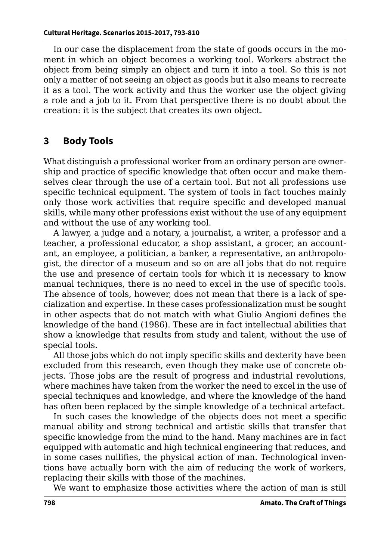In our case the displacement from the state of goods occurs in the moment in which an object becomes a working tool. Workers abstract the object from being simply an object and turn it into a tool. So this is not only a matter of not seeing an object as goods but it also means to recreate it as a tool. The work activity and thus the worker use the object giving a role and a job to it. From that perspective there is no doubt about the creation: it is the subject that creates its own object.

### **3 Body Tools**

What distinguish a professional worker from an ordinary person are ownership and practice of specific knowledge that often occur and make themselves clear through the use of a certain tool. But not all professions use specific technical equipment. The system of tools in fact touches mainly only those work activities that require specific and developed manual skills, while many other professions exist without the use of any equipment and without the use of any working tool.

A lawyer, a judge and a notary, a journalist, a writer, a professor and a teacher, a professional educator, a shop assistant, a grocer, an accountant, an employee, a politician, a banker, a representative, an anthropologist, the director of a museum and so on are all jobs that do not require the use and presence of certain tools for which it is necessary to know manual techniques, there is no need to excel in the use of specific tools. The absence of tools, however, does not mean that there is a lack of specialization and expertise. In these cases professionalization must be sought in other aspects that do not match with what Giulio Angioni defines the knowledge of the hand (1986). These are in fact intellectual abilities that show a knowledge that results from study and talent, without the use of special tools.

All those jobs which do not imply specific skills and dexterity have been excluded from this research, even though they make use of concrete objects. Those jobs are the result of progress and industrial revolutions, where machines have taken from the worker the need to excel in the use of special techniques and knowledge, and where the knowledge of the hand has often been replaced by the simple knowledge of a technical artefact.

In such cases the knowledge of the objects does not meet a specific manual ability and strong technical and artistic skills that transfer that specific knowledge from the mind to the hand. Many machines are in fact equipped with automatic and high technical engineering that reduces, and in some cases nullifies, the physical action of man. Technological inventions have actually born with the aim of reducing the work of workers, replacing their skills with those of the machines.

We want to emphasize those activities where the action of man is still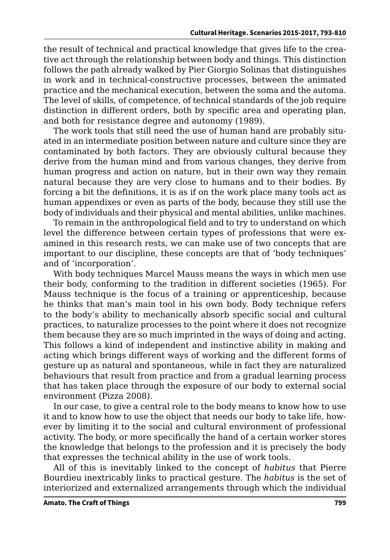the result of technical and practical knowledge that gives life to the creative act through the relationship between body and things. This distinction follows the path already walked by Pier Giorgio Solinas that distinguishes in work and in technical-constructive processes, between the animated practice and the mechanical execution, between the soma and the automa. The level of skills, of competence, of technical standards of the job require distinction in different orders, both by specific area and operating plan, and both for resistance degree and autonomy (1989).

The work tools that still need the use of human hand are probably situated in an intermediate position between nature and culture since they are contaminated by both factors. They are obviously cultural because they derive from the human mind and from various changes, they derive from human progress and action on nature, but in their own way they remain natural because they are very close to humans and to their bodies. By forcing a bit the definitions, it is as if on the work place many tools act as human appendixes or even as parts of the body, because they still use the body of individuals and their physical and mental abilities, unlike machines.

To remain in the anthropological field and to try to understand on which level the difference between certain types of professions that were examined in this research rests, we can make use of two concepts that are important to our discipline, these concepts are that of 'body techniques' and of 'incorporation'.

With body techniques Marcel Mauss means the ways in which men use their body, conforming to the tradition in different societies (1965). For Mauss technique is the focus of a training or apprenticeship, because he thinks that man's main tool in his own body. Body technique refers to the body's ability to mechanically absorb specific social and cultural practices, to naturalize processes to the point where it does not recognize them because they are so much imprinted in the ways of doing and acting. This follows a kind of independent and instinctive ability in making and acting which brings different ways of working and the different forms of gesture up as natural and spontaneous, while in fact they are naturalized behaviours that result from practice and from a gradual learning process that has taken place through the exposure of our body to external social environment (Pizza 2008).

In our case, to give a central role to the body means to know how to use it and to know how to use the object that needs our body to take life, however by limiting it to the social and cultural environment of professional activity. The body, or more specifically the hand of a certain worker stores the knowledge that belongs to the profession and it is precisely the body that expresses the technical ability in the use of work tools.

All of this is inevitably linked to the concept of *habitus* that Pierre Bourdieu inextricably links to practical gesture. The *habitus* is the set of interiorized and externalized arrangements through which the individual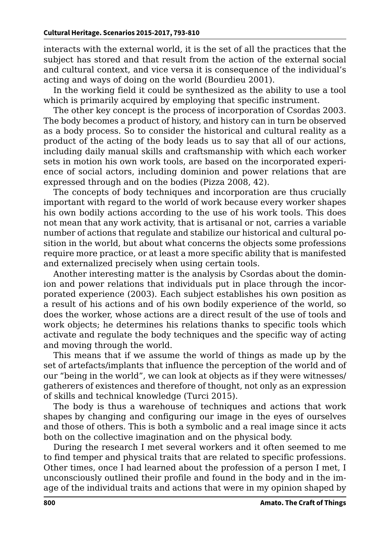interacts with the external world, it is the set of all the practices that the subject has stored and that result from the action of the external social and cultural context, and vice versa it is consequence of the individual's acting and ways of doing on the world (Bourdieu 2001).

In the working field it could be synthesized as the ability to use a tool which is primarily acquired by employing that specific instrument.

The other key concept is the process of incorporation of Csordas 2003. The body becomes a product of history, and history can in turn be observed as a body process. So to consider the historical and cultural reality as a product of the acting of the body leads us to say that all of our actions, including daily manual skills and craftsmanship with which each worker sets in motion his own work tools, are based on the incorporated experience of social actors, including dominion and power relations that are expressed through and on the bodies (Pizza 2008, 42).

The concepts of body techniques and incorporation are thus crucially important with regard to the world of work because every worker shapes his own bodily actions according to the use of his work tools. This does not mean that any work activity, that is artisanal or not, carries a variable number of actions that regulate and stabilize our historical and cultural position in the world, but about what concerns the objects some professions require more practice, or at least a more specific ability that is manifested and externalized precisely when using certain tools.

Another interesting matter is the analysis by Csordas about the dominion and power relations that individuals put in place through the incorporated experience (2003). Each subject establishes his own position as a result of his actions and of his own bodily experience of the world, so does the worker, whose actions are a direct result of the use of tools and work objects; he determines his relations thanks to specific tools which activate and regulate the body techniques and the specific way of acting and moving through the world.

This means that if we assume the world of things as made up by the set of artefacts/implants that influence the perception of the world and of our "being in the world", we can look at objects as if they were witnesses/ gatherers of existences and therefore of thought, not only as an expression of skills and technical knowledge (Turci 2015).

The body is thus a warehouse of techniques and actions that work shapes by changing and configuring our image in the eyes of ourselves and those of others. This is both a symbolic and a real image since it acts both on the collective imagination and on the physical body.

During the research I met several workers and it often seemed to me to find temper and physical traits that are related to specific professions. Other times, once I had learned about the profession of a person I met, I unconsciously outlined their profile and found in the body and in the image of the individual traits and actions that were in my opinion shaped by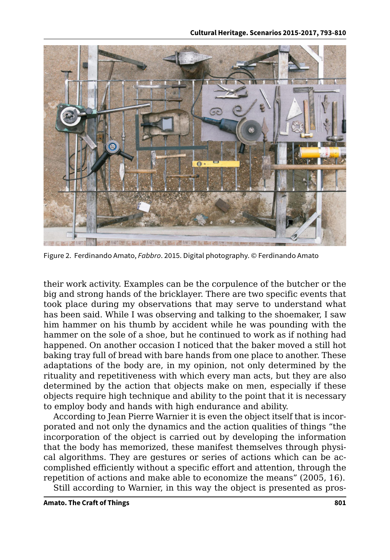

Figure 2. Ferdinando Amato, *Fabbro*. 2015. Digital photography. © Ferdinando Amato

their work activity. Examples can be the corpulence of the butcher or the big and strong hands of the bricklayer. There are two specific events that took place during my observations that may serve to understand what has been said. While I was observing and talking to the shoemaker, I saw him hammer on his thumb by accident while he was pounding with the hammer on the sole of a shoe, but he continued to work as if nothing had happened. On another occasion I noticed that the baker moved a still hot baking tray full of bread with bare hands from one place to another. These adaptations of the body are, in my opinion, not only determined by the rituality and repetitiveness with which every man acts, but they are also determined by the action that objects make on men, especially if these objects require high technique and ability to the point that it is necessary to employ body and hands with high endurance and ability.

According to Jean Pierre Warnier it is even the object itself that is incorporated and not only the dynamics and the action qualities of things "the incorporation of the object is carried out by developing the information that the body has memorized, these manifest themselves through physical algorithms. They are gestures or series of actions which can be accomplished efficiently without a specific effort and attention, through the repetition of actions and make able to economize the means" (2005, 16).

Still according to Warnier, in this way the object is presented as pros-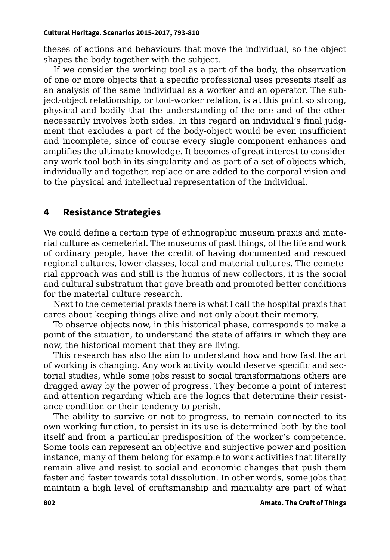theses of actions and behaviours that move the individual, so the object shapes the body together with the subject.

If we consider the working tool as a part of the body, the observation of one or more objects that a specific professional uses presents itself as an analysis of the same individual as a worker and an operator. The subject-object relationship, or tool-worker relation, is at this point so strong, physical and bodily that the understanding of the one and of the other necessarily involves both sides. In this regard an individual's final judgment that excludes a part of the body-object would be even insufficient and incomplete, since of course every single component enhances and amplifies the ultimate knowledge. It becomes of great interest to consider any work tool both in its singularity and as part of a set of objects which, individually and together, replace or are added to the corporal vision and to the physical and intellectual representation of the individual.

### **4 Resistance Strategies**

We could define a certain type of ethnographic museum praxis and material culture as cemeterial. The museums of past things, of the life and work of ordinary people, have the credit of having documented and rescued regional cultures, lower classes, local and material cultures. The cemeterial approach was and still is the humus of new collectors, it is the social and cultural substratum that gave breath and promoted better conditions for the material culture research.

Next to the cemeterial praxis there is what I call the hospital praxis that cares about keeping things alive and not only about their memory.

To observe objects now, in this historical phase, corresponds to make a point of the situation, to understand the state of affairs in which they are now, the historical moment that they are living.

This research has also the aim to understand how and how fast the art of working is changing. Any work activity would deserve specific and sectorial studies, while some jobs resist to social transformations others are dragged away by the power of progress. They become a point of interest and attention regarding which are the logics that determine their resistance condition or their tendency to perish.

The ability to survive or not to progress, to remain connected to its own working function, to persist in its use is determined both by the tool itself and from a particular predisposition of the worker's competence. Some tools can represent an objective and subjective power and position instance, many of them belong for example to work activities that literally remain alive and resist to social and economic changes that push them faster and faster towards total dissolution. In other words, some jobs that maintain a high level of craftsmanship and manuality are part of what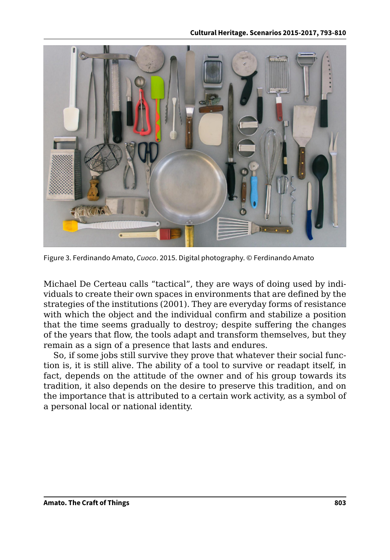

Figure 3. Ferdinando Amato, *Cuoco*. 2015. Digital photography. © Ferdinando Amato

Michael De Certeau calls "tactical", they are ways of doing used by individuals to create their own spaces in environments that are defined by the strategies of the institutions (2001). They are everyday forms of resistance with which the object and the individual confirm and stabilize a position that the time seems gradually to destroy; despite suffering the changes of the years that flow, the tools adapt and transform themselves, but they remain as a sign of a presence that lasts and endures.

So, if some jobs still survive they prove that whatever their social function is, it is still alive. The ability of a tool to survive or readapt itself, in fact, depends on the attitude of the owner and of his group towards its tradition, it also depends on the desire to preserve this tradition, and on the importance that is attributed to a certain work activity, as a symbol of a personal local or national identity.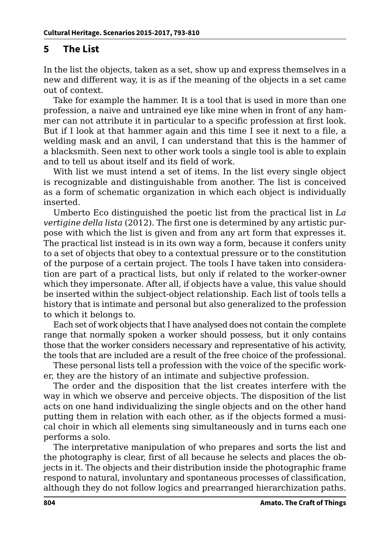## **5 The List**

In the list the objects, taken as a set, show up and express themselves in a new and different way, it is as if the meaning of the objects in a set came out of context.

Take for example the hammer. It is a tool that is used in more than one profession, a naive and untrained eye like mine when in front of any hammer can not attribute it in particular to a specific profession at first look. But if I look at that hammer again and this time I see it next to a file, a welding mask and an anvil, I can understand that this is the hammer of a blacksmith. Seen next to other work tools a single tool is able to explain and to tell us about itself and its field of work.

With list we must intend a set of items. In the list every single object is recognizable and distinguishable from another. The list is conceived as a form of schematic organization in which each object is individually inserted.

Umberto Eco distinguished the poetic list from the practical list in *La vertigine della lista* (2012). The first one is determined by any artistic purpose with which the list is given and from any art form that expresses it. The practical list instead is in its own way a form, because it confers unity to a set of objects that obey to a contextual pressure or to the constitution of the purpose of a certain project. The tools I have taken into consideration are part of a practical lists, but only if related to the worker-owner which they impersonate. After all, if objects have a value, this value should be inserted within the subject-object relationship. Each list of tools tells a history that is intimate and personal but also generalized to the profession to which it belongs to.

Each set of work objects that I have analysed does not contain the complete range that normally spoken a worker should possess, but it only contains those that the worker considers necessary and representative of his activity, the tools that are included are a result of the free choice of the professional.

These personal lists tell a profession with the voice of the specific worker, they are the history of an intimate and subjective profession.

The order and the disposition that the list creates interfere with the way in which we observe and perceive objects. The disposition of the list acts on one hand individualizing the single objects and on the other hand putting them in relation with each other, as if the objects formed a musical choir in which all elements sing simultaneously and in turns each one performs a solo.

The interpretative manipulation of who prepares and sorts the list and the photography is clear, first of all because he selects and places the objects in it. The objects and their distribution inside the photographic frame respond to natural, involuntary and spontaneous processes of classification, although they do not follow logics and prearranged hierarchization paths.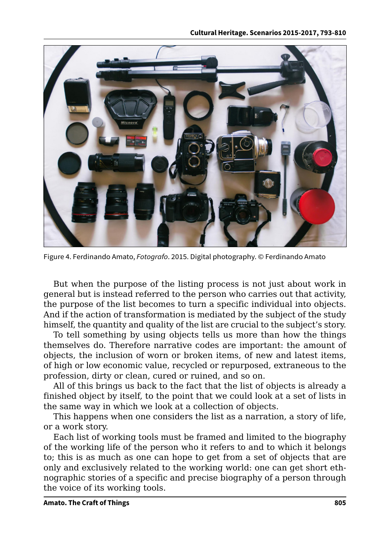

Figure 4. Ferdinando Amato, *Fotografo*. 2015. Digital photography. © Ferdinando Amato

But when the purpose of the listing process is not just about work in general but is instead referred to the person who carries out that activity, the purpose of the list becomes to turn a specific individual into objects. And if the action of transformation is mediated by the subject of the study himself, the quantity and quality of the list are crucial to the subject's story.

To tell something by using objects tells us more than how the things themselves do. Therefore narrative codes are important: the amount of objects, the inclusion of worn or broken items, of new and latest items, of high or low economic value, recycled or repurposed, extraneous to the profession, dirty or clean, cured or ruined, and so on.

All of this brings us back to the fact that the list of objects is already a finished object by itself, to the point that we could look at a set of lists in the same way in which we look at a collection of objects.

This happens when one considers the list as a narration, a story of life, or a work story.

Each list of working tools must be framed and limited to the biography of the working life of the person who it refers to and to which it belongs to; this is as much as one can hope to get from a set of objects that are only and exclusively related to the working world: one can get short ethnographic stories of a specific and precise biography of a person through the voice of its working tools.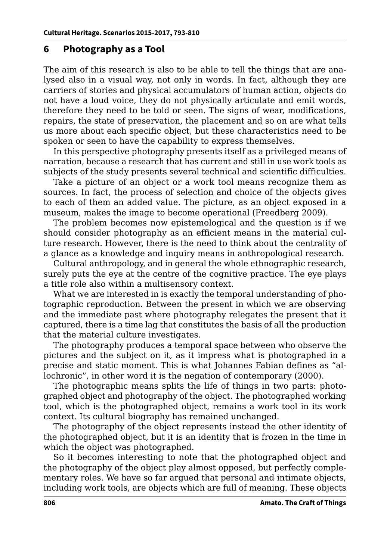#### **6 Photography as a Tool**

The aim of this research is also to be able to tell the things that are analysed also in a visual way, not only in words. In fact, although they are carriers of stories and physical accumulators of human action, objects do not have a loud voice, they do not physically articulate and emit words, therefore they need to be told or seen. The signs of wear, modifications, repairs, the state of preservation, the placement and so on are what tells us more about each specific object, but these characteristics need to be spoken or seen to have the capability to express themselves.

In this perspective photography presents itself as a privileged means of narration, because a research that has current and still in use work tools as subjects of the study presents several technical and scientific difficulties.

Take a picture of an object or a work tool means recognize them as sources. In fact, the process of selection and choice of the objects gives to each of them an added value. The picture, as an object exposed in a museum, makes the image to become operational (Freedberg 2009).

The problem becomes now epistemological and the question is if we should consider photography as an efficient means in the material culture research. However, there is the need to think about the centrality of a glance as a knowledge and inquiry means in anthropological research.

Cultural anthropology, and in general the whole ethnographic research, surely puts the eye at the centre of the cognitive practice. The eye plays a title role also within a multisensory context.

What we are interested in is exactly the temporal understanding of photographic reproduction. Between the present in which we are observing and the immediate past where photography relegates the present that it captured, there is a time lag that constitutes the basis of all the production that the material culture investigates.

The photography produces a temporal space between who observe the pictures and the subject on it, as it impress what is photographed in a precise and static moment. This is what Johannes Fabian defines as "allochronic", in other word it is the negation of contemporary (2000).

The photographic means splits the life of things in two parts: photographed object and photography of the object. The photographed working tool, which is the photographed object, remains a work tool in its work context. Its cultural biography has remained unchanged.

The photography of the object represents instead the other identity of the photographed object, but it is an identity that is frozen in the time in which the object was photographed.

So it becomes interesting to note that the photographed object and the photography of the object play almost opposed, but perfectly complementary roles. We have so far argued that personal and intimate objects, including work tools, are objects which are full of meaning. These objects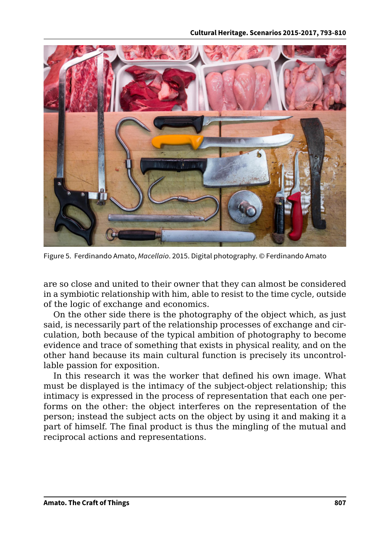

Figure 5. Ferdinando Amato, *Macellaio*. 2015. Digital photography. © Ferdinando Amato

are so close and united to their owner that they can almost be considered in a symbiotic relationship with him, able to resist to the time cycle, outside of the logic of exchange and economics.

On the other side there is the photography of the object which, as just said, is necessarily part of the relationship processes of exchange and circulation, both because of the typical ambition of photography to become evidence and trace of something that exists in physical reality, and on the other hand because its main cultural function is precisely its uncontrollable passion for exposition.

In this research it was the worker that defined his own image. What must be displayed is the intimacy of the subject-object relationship; this intimacy is expressed in the process of representation that each one performs on the other: the object interferes on the representation of the person; instead the subject acts on the object by using it and making it a part of himself. The final product is thus the mingling of the mutual and reciprocal actions and representations.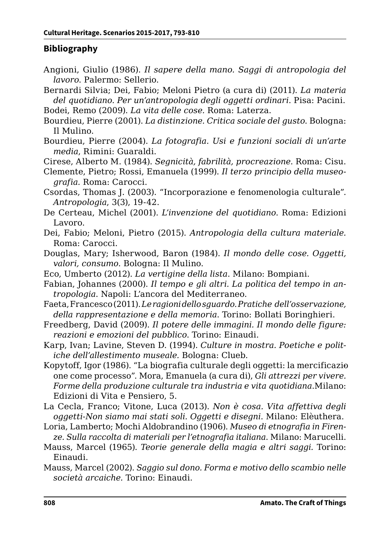#### **Bibliography**

- Angioni, Giulio (1986). *Il sapere della mano. Saggi di antropologia del lavoro*. Palermo: Sellerio.
- Bernardi Silvia; Dei, Fabio; Meloni Pietro (a cura di) (2011). *La materia del quotidiano. Per un'antropologia degli oggetti ordinari*. Pisa: Pacini. Bodei, Remo (2009). *La vita delle cose.* Roma: Laterza.
- Bourdieu, Pierre (2001). *La distinzione. Critica sociale del gusto*. Bologna: Il Mulino.
- Bourdieu, Pierre (2004). *La fotografia. Usi e funzioni sociali di un'arte media*, Rimini: Guaraldi.
- Cirese, Alberto M. (1984). *Segnicità, fabrilità, procreazione*. Roma: Cisu.
- Clemente, Pietro; Rossi, Emanuela (1999). *Il terzo principio della museografia.* Roma: Carocci.
- Csordas, Thomas J. (2003). "Incorporazione e fenomenologia culturale". *Antropologia*, 3(3), 19-42.
- De Certeau, Michel (2001). *L'invenzione del quotidiano*. Roma: Edizioni Lavoro.
- Dei, Fabio; Meloni, Pietro (2015). *Antropologia della cultura materiale.* Roma: Carocci.
- Douglas, Mary; Isherwood, Baron (1984). *Il mondo delle cose. Oggetti, valori, consumo*. Bologna: Il Mulino.
- Eco, Umberto (2012). *La vertigine della lista*. Milano: Bompiani.
- Fabian, Johannes (2000). *Il tempo e gli altri. La politica del tempo in antropologia*. Napoli: L'ancora del Mediterraneo.
- Faeta, Francesco (2011). *Le ragioni dello sguardo. Pratiche dell'osservazione, della rappresentazione e della memoria*. Torino: Bollati Boringhieri.
- Freedberg, David (2009). *Il potere delle immagini. Il mondo delle figure: reazioni e emozioni del pubblico*. Torino: Einaudi.
- Karp, Ivan; Lavine, Steven D. (1994). *Culture in mostra. Poetiche e politiche dell'allestimento museale.* Bologna: Clueb.
- Kopytoff, Igor (1986). "La biografia culturale degli oggetti: la mercificazio one come processo". Mora, Emanuela (a cura di), *Gli attrezzi per vivere. Forme della produzione culturale tra industria e vita quotidiana*.Milano: Edizioni di Vita e Pensiero, 5.
- La Cecla, Franco; Vitone, Luca (2013). *Non è cosa. Vita affettiva degli oggetti-Non siamo mai stati soli. Oggetti e disegni*. Milano: Elèuthera.
- Loria, Lamberto; Mochi Aldobrandino (1906). *Museo di etnografia in Firenze. Sulla raccolta di materiali per l'etnografia italiana*. Milano: Marucelli.
- Mauss, Marcel (1965). *Teorie generale della magia e altri saggi.* Torino: Einaudi.
- Mauss*,* Marcel (2002). *Saggio sul dono. Forma e motivo dello scambio nelle società arcaiche.* Torino: Einaudi.